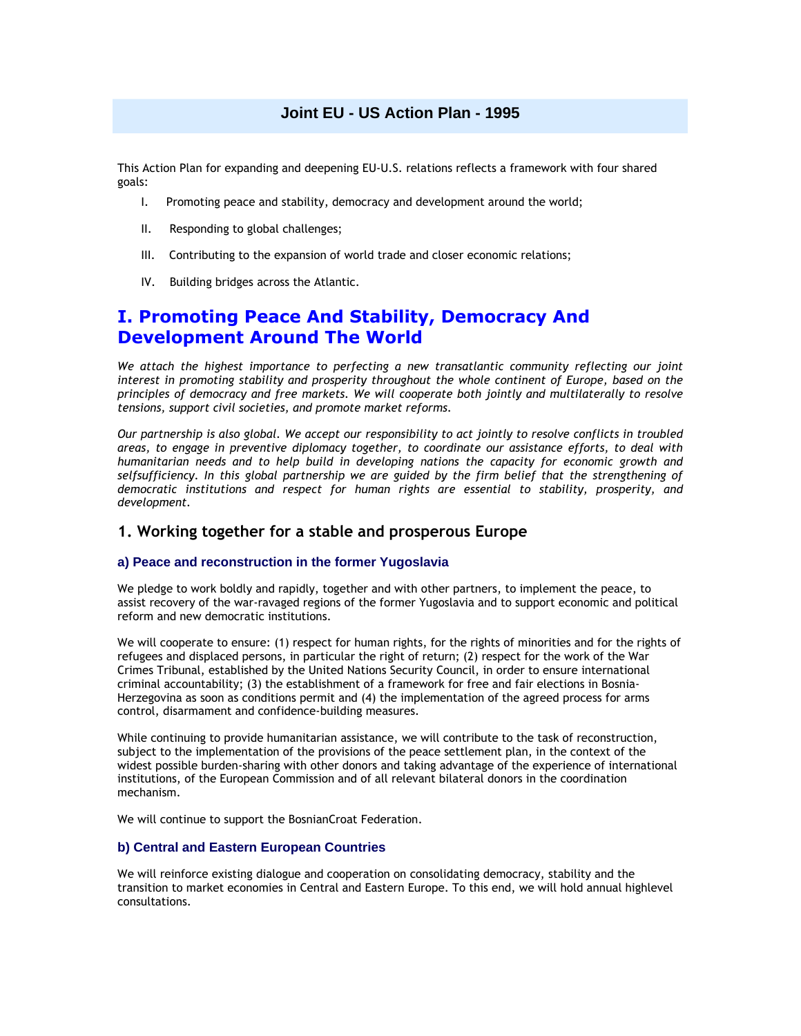## **Joint EU - US Action Plan - 1995**

This Action Plan for expanding and deepening EU-U.S. relations reflects a framework with four shared goals:

- I. Promoting peace and stability, democracy and development around the world;
- II. Responding to global challenges;
- III. Contributing to the expansion of world trade and closer economic relations;
- IV. Building bridges across the Atlantic.

# **I. Promoting Peace And Stability, Democracy And Development Around The World**

We attach the highest importance to perfecting a new transatlantic community reflecting our joint *interest in promoting stability and prosperity throughout the whole continent of Europe, based on the principles of democracy and free markets. We will cooperate both jointly and multilaterally to resolve tensions, support civil societies, and promote market reforms.*

*Our partnership is also global. We accept our responsibility to act jointly to resolve conflicts in troubled areas, to engage in preventive diplomacy together, to coordinate our assistance efforts, to deal with humanitarian needs and to help build in developing nations the capacity for economic growth and selfsufficiency. In this global partnership we are guided by the firm belief that the strengthening of democratic institutions and respect for human rights are essential to stability, prosperity, and development.*

### **1. Working together for a stable and prosperous Europe**

#### **a) Peace and reconstruction in the former Yugoslavia**

We pledge to work boldly and rapidly, together and with other partners, to implement the peace, to assist recovery of the war-ravaged regions of the former Yugoslavia and to support economic and political reform and new democratic institutions.

We will cooperate to ensure: (1) respect for human rights, for the rights of minorities and for the rights of refugees and displaced persons, in particular the right of return; (2) respect for the work of the War Crimes Tribunal, established by the United Nations Security Council, in order to ensure international criminal accountability; (3) the establishment of a framework for free and fair elections in Bosnia-Herzegovina as soon as conditions permit and (4) the implementation of the agreed process for arms control, disarmament and confidence-building measures.

While continuing to provide humanitarian assistance, we will contribute to the task of reconstruction, subject to the implementation of the provisions of the peace settlement plan, in the context of the widest possible burden-sharing with other donors and taking advantage of the experience of international institutions, of the European Commission and of all relevant bilateral donors in the coordination mechanism.

We will continue to support the BosnianCroat Federation.

### **b) Central and Eastern European Countries**

We will reinforce existing dialogue and cooperation on consolidating democracy, stability and the transition to market economies in Central and Eastern Europe. To this end, we will hold annual highlevel consultations.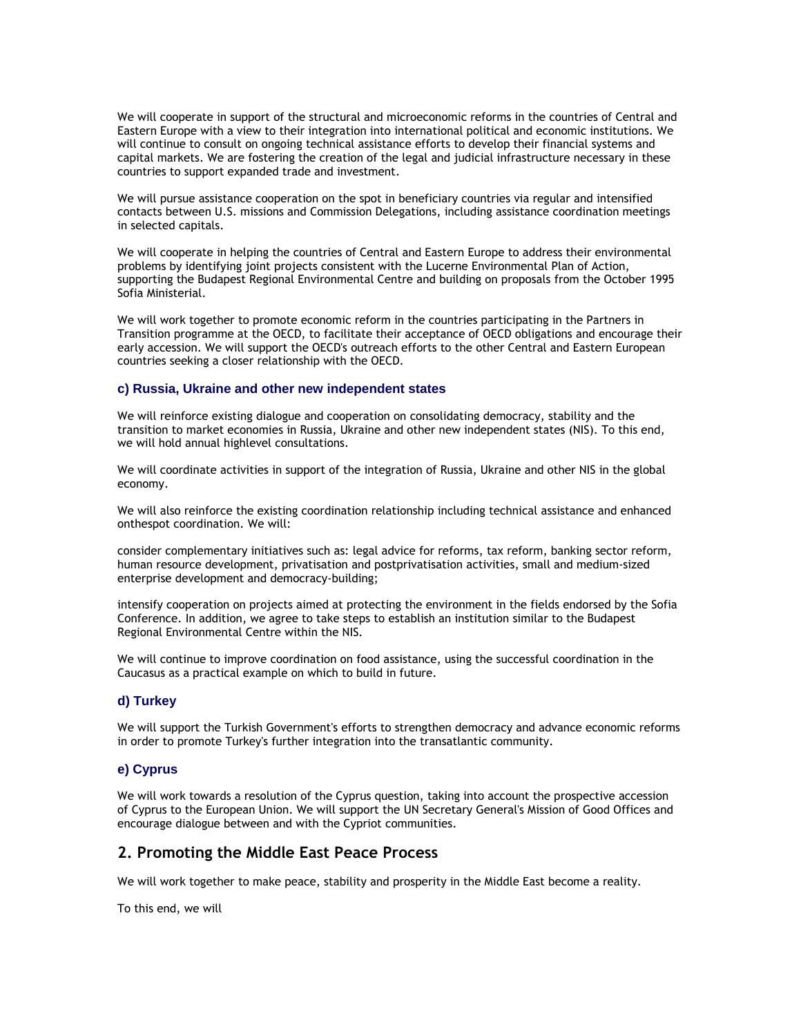We will cooperate in support of the structural and microeconomic reforms in the countries of Central and Eastern Europe with a view to their integration into international political and economic institutions. We will continue to consult on ongoing technical assistance efforts to develop their financial systems and capital markets. We are fostering the creation of the legal and judicial infrastructure necessary in these countries to support expanded trade and investment.

We will pursue assistance cooperation on the spot in beneficiary countries via regular and intensified contacts between U.S. missions and Commission Delegations, including assistance coordination meetings in selected capitals.

We will cooperate in helping the countries of Central and Eastern Europe to address their environmental problems by identifying joint projects consistent with the Lucerne Environmental Plan of Action, supporting the Budapest Regional Environmental Centre and building on proposals from the October 1995 Sofia Ministerial.

We will work together to promote economic reform in the countries participating in the Partners in Transition programme at the OECD, to facilitate their acceptance of OECD obligations and encourage their early accession. We will support the OECD's outreach efforts to the other Central and Eastern European countries seeking a closer relationship with the OECD.

### **c) Russia, Ukraine and other new independent states**

We will reinforce existing dialogue and cooperation on consolidating democracy, stability and the transition to market economies in Russia, Ukraine and other new independent states (NIS). To this end, we will hold annual highlevel consultations.

We will coordinate activities in support of the integration of Russia, Ukraine and other NIS in the global economy.

We will also reinforce the existing coordination relationship including technical assistance and enhanced onthespot coordination. We will:

consider complementary initiatives such as: legal advice for reforms, tax reform, banking sector reform, human resource development, privatisation and postprivatisation activities, small and medium-sized enterprise development and democracy-building;

intensify cooperation on projects aimed at protecting the environment in the fields endorsed by the Sofia Conference. In addition, we agree to take steps to establish an institution similar to the Budapest Regional Environmental Centre within the NIS.

We will continue to improve coordination on food assistance, using the successful coordination in the Caucasus as a practical example on which to build in future.

### **d) Turkey**

We will support the Turkish Government's efforts to strengthen democracy and advance economic reforms in order to promote Turkey's further integration into the transatlantic community.

### **e) Cyprus**

We will work towards a resolution of the Cyprus question, taking into account the prospective accession of Cyprus to the European Union. We will support the UN Secretary General's Mission of Good Offices and encourage dialogue between and with the Cypriot communities.

## **2. Promoting the Middle East Peace Process**

We will work together to make peace, stability and prosperity in the Middle East become a reality.

To this end, we will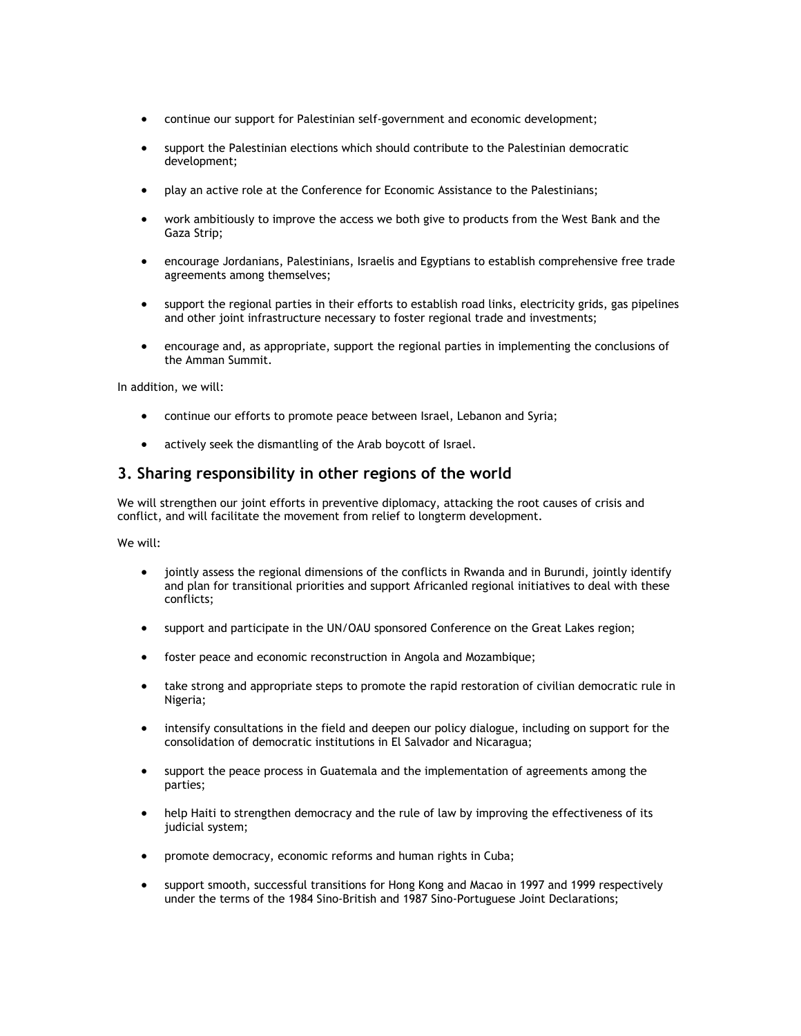- continue our support for Palestinian self-government and economic development;
- support the Palestinian elections which should contribute to the Palestinian democratic development;
- play an active role at the Conference for Economic Assistance to the Palestinians;
- work ambitiously to improve the access we both give to products from the West Bank and the Gaza Strip;
- encourage Jordanians, Palestinians, Israelis and Egyptians to establish comprehensive free trade agreements among themselves;
- support the regional parties in their efforts to establish road links, electricity grids, gas pipelines and other joint infrastructure necessary to foster regional trade and investments;
- encourage and, as appropriate, support the regional parties in implementing the conclusions of the Amman Summit.

In addition, we will:

- continue our efforts to promote peace between Israel, Lebanon and Syria;
- actively seek the dismantling of the Arab boycott of Israel.

## **3. Sharing responsibility in other regions of the world**

We will strengthen our joint efforts in preventive diplomacy, attacking the root causes of crisis and conflict, and will facilitate the movement from relief to longterm development.

- jointly assess the regional dimensions of the conflicts in Rwanda and in Burundi, jointly identify and plan for transitional priorities and support Africanled regional initiatives to deal with these conflicts;
- support and participate in the UN/OAU sponsored Conference on the Great Lakes region;
- foster peace and economic reconstruction in Angola and Mozambique;
- take strong and appropriate steps to promote the rapid restoration of civilian democratic rule in Nigeria;
- intensify consultations in the field and deepen our policy dialogue, including on support for the consolidation of democratic institutions in El Salvador and Nicaragua;
- support the peace process in Guatemala and the implementation of agreements among the parties;
- help Haiti to strengthen democracy and the rule of law by improving the effectiveness of its judicial system;
- promote democracy, economic reforms and human rights in Cuba;
- support smooth, successful transitions for Hong Kong and Macao in 1997 and 1999 respectively under the terms of the 1984 Sino-British and 1987 Sino-Portuguese Joint Declarations;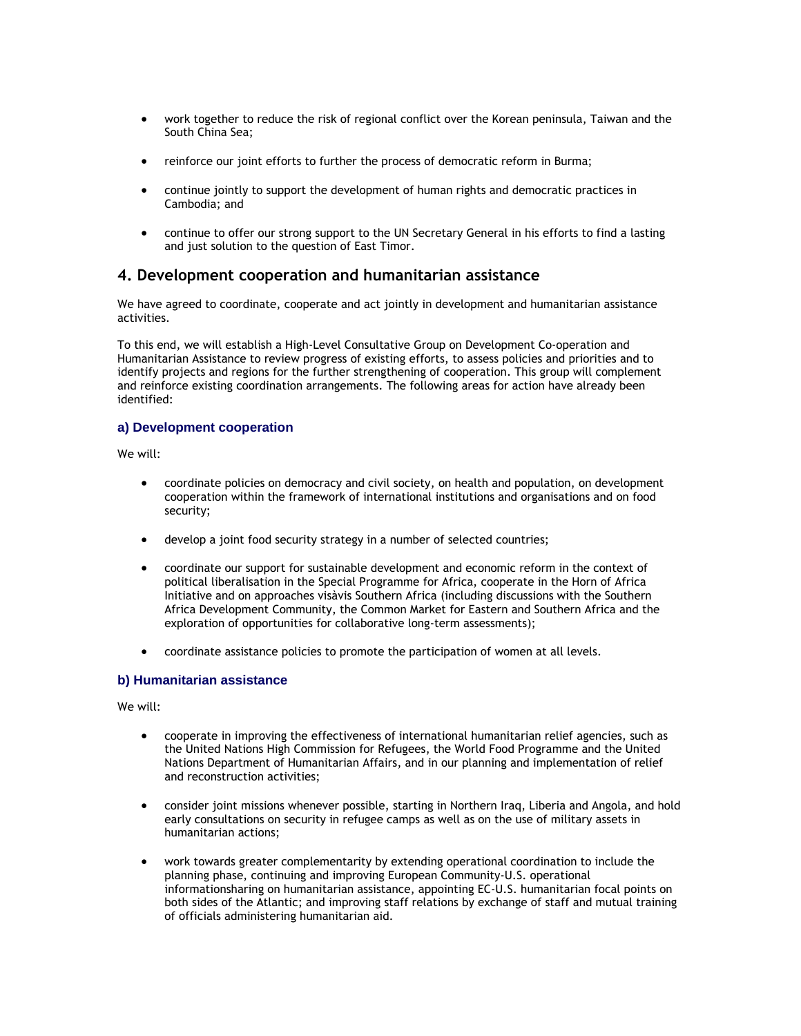- work together to reduce the risk of regional conflict over the Korean peninsula, Taiwan and the South China Sea;
- reinforce our joint efforts to further the process of democratic reform in Burma;
- continue jointly to support the development of human rights and democratic practices in Cambodia; and
- continue to offer our strong support to the UN Secretary General in his efforts to find a lasting and just solution to the question of East Timor.

## **4. Development cooperation and humanitarian assistance**

We have agreed to coordinate, cooperate and act jointly in development and humanitarian assistance activities.

To this end, we will establish a High-Level Consultative Group on Development Co-operation and Humanitarian Assistance to review progress of existing efforts, to assess policies and priorities and to identify projects and regions for the further strengthening of cooperation. This group will complement and reinforce existing coordination arrangements. The following areas for action have already been identified:

### **a) Development cooperation**

We will:

- coordinate policies on democracy and civil society, on health and population, on development cooperation within the framework of international institutions and organisations and on food security;
- develop a joint food security strategy in a number of selected countries;
- coordinate our support for sustainable development and economic reform in the context of political liberalisation in the Special Programme for Africa, cooperate in the Horn of Africa Initiative and on approaches visàvis Southern Africa (including discussions with the Southern Africa Development Community, the Common Market for Eastern and Southern Africa and the exploration of opportunities for collaborative long-term assessments);
- coordinate assistance policies to promote the participation of women at all levels.

#### **b) Humanitarian assistance**

- cooperate in improving the effectiveness of international humanitarian relief agencies, such as the United Nations High Commission for Refugees, the World Food Programme and the United Nations Department of Humanitarian Affairs, and in our planning and implementation of relief and reconstruction activities;
- consider joint missions whenever possible, starting in Northern Iraq, Liberia and Angola, and hold early consultations on security in refugee camps as well as on the use of military assets in humanitarian actions;
- work towards greater complementarity by extending operational coordination to include the planning phase, continuing and improving European Community-U.S. operational informationsharing on humanitarian assistance, appointing EC-U.S. humanitarian focal points on both sides of the Atlantic; and improving staff relations by exchange of staff and mutual training of officials administering humanitarian aid.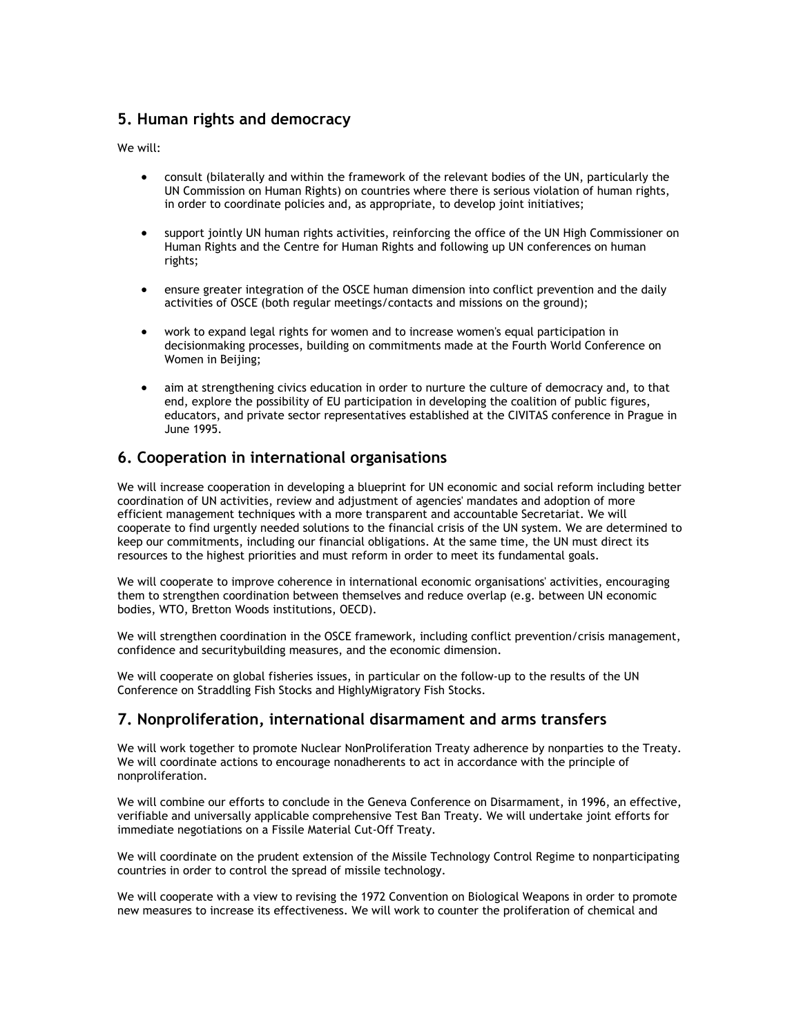## **5. Human rights and democracy**

We will:

- consult (bilaterally and within the framework of the relevant bodies of the UN, particularly the UN Commission on Human Rights) on countries where there is serious violation of human rights, in order to coordinate policies and, as appropriate, to develop joint initiatives;
- support jointly UN human rights activities, reinforcing the office of the UN High Commissioner on Human Rights and the Centre for Human Rights and following up UN conferences on human rights;
- ensure greater integration of the OSCE human dimension into conflict prevention and the daily activities of OSCE (both regular meetings/contacts and missions on the ground);
- work to expand legal rights for women and to increase women's equal participation in decisionmaking processes, building on commitments made at the Fourth World Conference on Women in Beijing;
- aim at strengthening civics education in order to nurture the culture of democracy and, to that end, explore the possibility of EU participation in developing the coalition of public figures, educators, and private sector representatives established at the CIVITAS conference in Prague in June 1995.

## **6. Cooperation in international organisations**

We will increase cooperation in developing a blueprint for UN economic and social reform including better coordination of UN activities, review and adjustment of agencies' mandates and adoption of more efficient management techniques with a more transparent and accountable Secretariat. We will cooperate to find urgently needed solutions to the financial crisis of the UN system. We are determined to keep our commitments, including our financial obligations. At the same time, the UN must direct its resources to the highest priorities and must reform in order to meet its fundamental goals.

We will cooperate to improve coherence in international economic organisations' activities, encouraging them to strengthen coordination between themselves and reduce overlap (e.g. between UN economic bodies, WTO, Bretton Woods institutions, OECD).

We will strengthen coordination in the OSCE framework, including conflict prevention/crisis management, confidence and securitybuilding measures, and the economic dimension.

We will cooperate on global fisheries issues, in particular on the follow-up to the results of the UN Conference on Straddling Fish Stocks and HighlyMigratory Fish Stocks.

## **7. Nonproliferation, international disarmament and arms transfers**

We will work together to promote Nuclear NonProliferation Treaty adherence by nonparties to the Treaty. We will coordinate actions to encourage nonadherents to act in accordance with the principle of nonproliferation.

We will combine our efforts to conclude in the Geneva Conference on Disarmament, in 1996, an effective, verifiable and universally applicable comprehensive Test Ban Treaty. We will undertake joint efforts for immediate negotiations on a Fissile Material Cut-Off Treaty.

We will coordinate on the prudent extension of the Missile Technology Control Regime to nonparticipating countries in order to control the spread of missile technology.

We will cooperate with a view to revising the 1972 Convention on Biological Weapons in order to promote new measures to increase its effectiveness. We will work to counter the proliferation of chemical and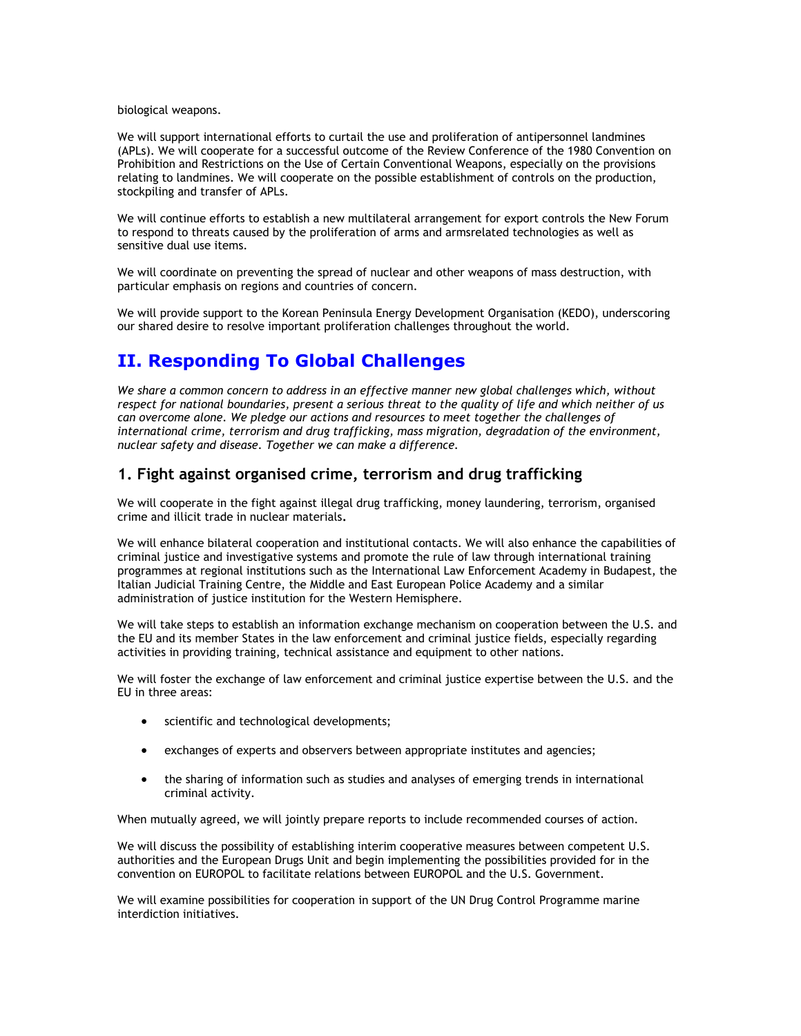biological weapons.

We will support international efforts to curtail the use and proliferation of antipersonnel landmines (APLs). We will cooperate for a successful outcome of the Review Conference of the 1980 Convention on Prohibition and Restrictions on the Use of Certain Conventional Weapons, especially on the provisions relating to landmines. We will cooperate on the possible establishment of controls on the production, stockpiling and transfer of APLs.

We will continue efforts to establish a new multilateral arrangement for export controls the New Forum to respond to threats caused by the proliferation of arms and armsrelated technologies as well as sensitive dual use items.

We will coordinate on preventing the spread of nuclear and other weapons of mass destruction, with particular emphasis on regions and countries of concern.

We will provide support to the Korean Peninsula Energy Development Organisation (KEDO), underscoring our shared desire to resolve important proliferation challenges throughout the world.

# **II. Responding To Global Challenges**

*We share a common concern to address in an effective manner new global challenges which, without respect for national boundaries, present a serious threat to the quality of life and which neither of us can overcome alone. We pledge our actions and resources to meet together the challenges of international crime, terrorism and drug trafficking, mass migration, degradation of the environment, nuclear safety and disease. Together we can make a difference.*

## **1. Fight against organised crime, terrorism and drug trafficking**

We will cooperate in the fight against illegal drug trafficking, money laundering, terrorism, organised crime and illicit trade in nuclear materials**.**

We will enhance bilateral cooperation and institutional contacts. We will also enhance the capabilities of criminal justice and investigative systems and promote the rule of law through international training programmes at regional institutions such as the International Law Enforcement Academy in Budapest, the Italian Judicial Training Centre, the Middle and East European Police Academy and a similar administration of justice institution for the Western Hemisphere.

We will take steps to establish an information exchange mechanism on cooperation between the U.S. and the EU and its member States in the law enforcement and criminal justice fields, especially regarding activities in providing training, technical assistance and equipment to other nations.

We will foster the exchange of law enforcement and criminal justice expertise between the U.S. and the EU in three areas:

- scientific and technological developments;
- exchanges of experts and observers between appropriate institutes and agencies;
- the sharing of information such as studies and analyses of emerging trends in international criminal activity.

When mutually agreed, we will jointly prepare reports to include recommended courses of action.

We will discuss the possibility of establishing interim cooperative measures between competent U.S. authorities and the European Drugs Unit and begin implementing the possibilities provided for in the convention on EUROPOL to facilitate relations between EUROPOL and the U.S. Government.

We will examine possibilities for cooperation in support of the UN Drug Control Programme marine interdiction initiatives.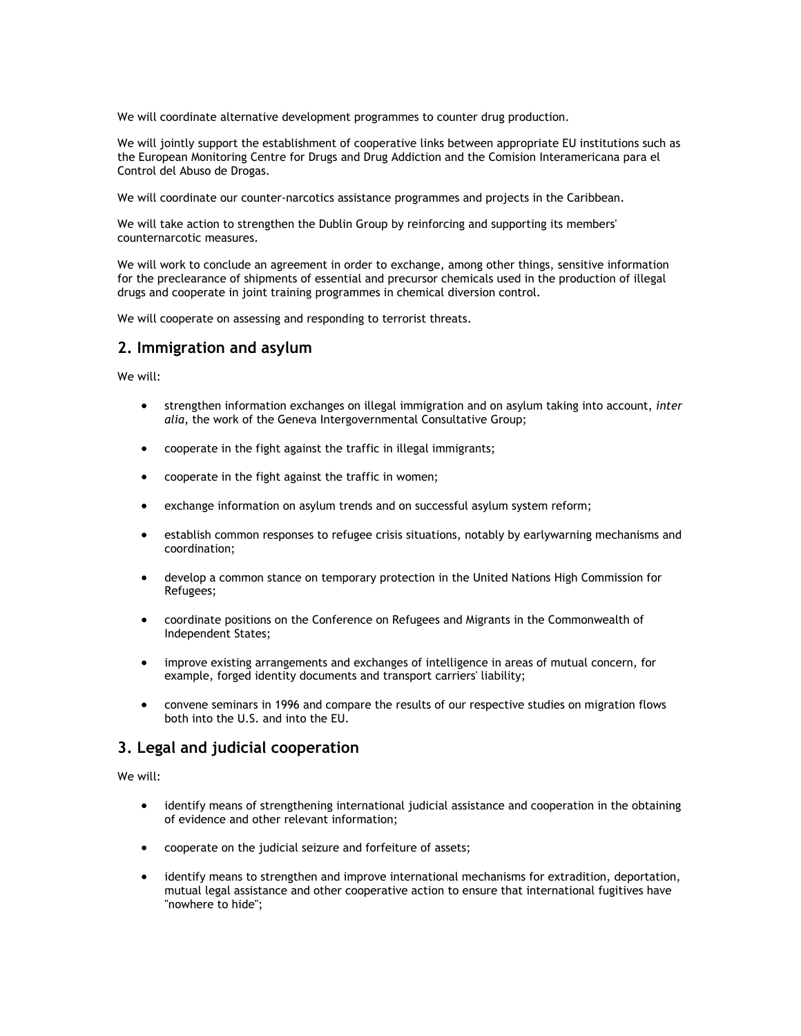We will coordinate alternative development programmes to counter drug production.

We will jointly support the establishment of cooperative links between appropriate EU institutions such as the European Monitoring Centre for Drugs and Drug Addiction and the Comision Interamericana para el Control del Abuso de Drogas.

We will coordinate our counter-narcotics assistance programmes and projects in the Caribbean.

We will take action to strengthen the Dublin Group by reinforcing and supporting its members' counternarcotic measures.

We will work to conclude an agreement in order to exchange, among other things, sensitive information for the preclearance of shipments of essential and precursor chemicals used in the production of illegal drugs and cooperate in joint training programmes in chemical diversion control.

We will cooperate on assessing and responding to terrorist threats.

## **2. Immigration and asylum**

We will:

- strengthen information exchanges on illegal immigration and on asylum taking into account, *inter alia*, the work of the Geneva Intergovernmental Consultative Group;
- cooperate in the fight against the traffic in illegal immigrants;
- cooperate in the fight against the traffic in women;
- exchange information on asylum trends and on successful asylum system reform;
- establish common responses to refugee crisis situations, notably by earlywarning mechanisms and coordination;
- develop a common stance on temporary protection in the United Nations High Commission for Refugees;
- coordinate positions on the Conference on Refugees and Migrants in the Commonwealth of Independent States;
- improve existing arrangements and exchanges of intelligence in areas of mutual concern, for example, forged identity documents and transport carriers' liability;
- convene seminars in 1996 and compare the results of our respective studies on migration flows both into the U.S. and into the EU.

## **3. Legal and judicial cooperation**

- identify means of strengthening international judicial assistance and cooperation in the obtaining of evidence and other relevant information;
- cooperate on the judicial seizure and forfeiture of assets;
- identify means to strengthen and improve international mechanisms for extradition, deportation, mutual legal assistance and other cooperative action to ensure that international fugitives have "nowhere to hide";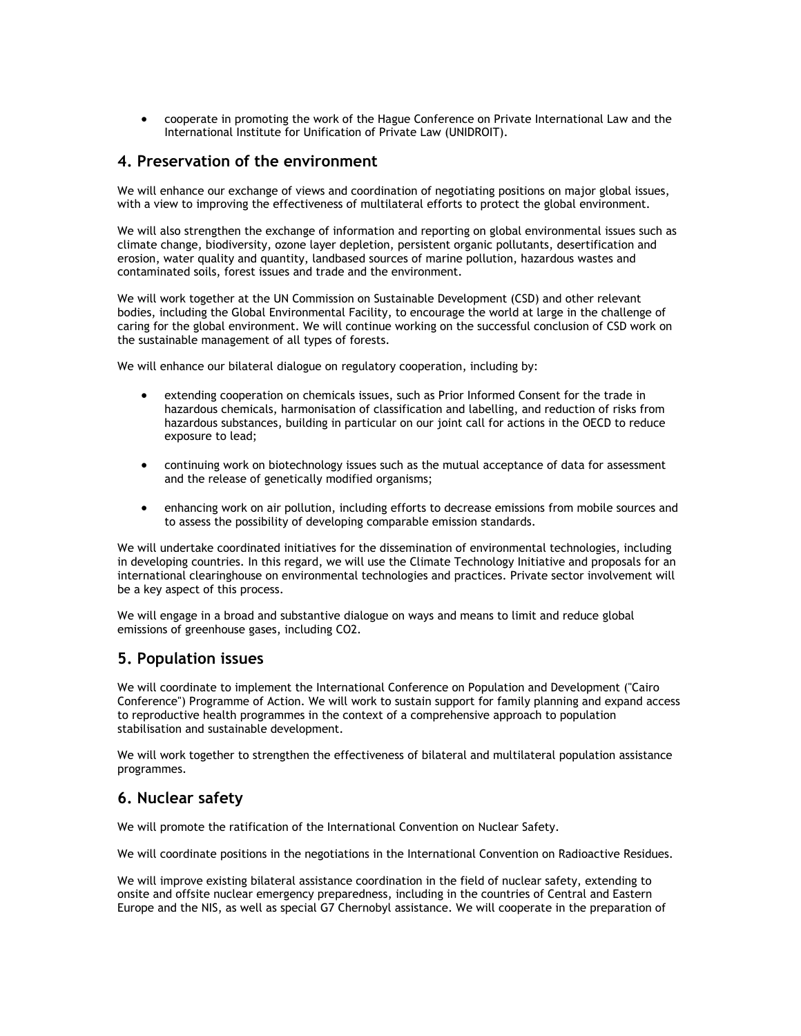• cooperate in promoting the work of the Hague Conference on Private International Law and the International Institute for Unification of Private Law (UNIDROIT).

## **4. Preservation of the environment**

We will enhance our exchange of views and coordination of negotiating positions on major global issues, with a view to improving the effectiveness of multilateral efforts to protect the global environment.

We will also strengthen the exchange of information and reporting on global environmental issues such as climate change, biodiversity, ozone layer depletion, persistent organic pollutants, desertification and erosion, water quality and quantity, landbased sources of marine pollution, hazardous wastes and contaminated soils, forest issues and trade and the environment.

We will work together at the UN Commission on Sustainable Development (CSD) and other relevant bodies, including the Global Environmental Facility, to encourage the world at large in the challenge of caring for the global environment. We will continue working on the successful conclusion of CSD work on the sustainable management of all types of forests.

We will enhance our bilateral dialogue on regulatory cooperation, including by:

- extending cooperation on chemicals issues, such as Prior Informed Consent for the trade in hazardous chemicals, harmonisation of classification and labelling, and reduction of risks from hazardous substances, building in particular on our joint call for actions in the OECD to reduce exposure to lead;
- continuing work on biotechnology issues such as the mutual acceptance of data for assessment and the release of genetically modified organisms;
- enhancing work on air pollution, including efforts to decrease emissions from mobile sources and to assess the possibility of developing comparable emission standards.

We will undertake coordinated initiatives for the dissemination of environmental technologies, including in developing countries. In this regard, we will use the Climate Technology Initiative and proposals for an international clearinghouse on environmental technologies and practices. Private sector involvement will be a key aspect of this process.

We will engage in a broad and substantive dialogue on ways and means to limit and reduce global emissions of greenhouse gases, including CO2.

## **5. Population issues**

We will coordinate to implement the International Conference on Population and Development ("Cairo Conference") Programme of Action. We will work to sustain support for family planning and expand access to reproductive health programmes in the context of a comprehensive approach to population stabilisation and sustainable development.

We will work together to strengthen the effectiveness of bilateral and multilateral population assistance programmes.

## **6. Nuclear safety**

We will promote the ratification of the International Convention on Nuclear Safety.

We will coordinate positions in the negotiations in the International Convention on Radioactive Residues.

We will improve existing bilateral assistance coordination in the field of nuclear safety, extending to onsite and offsite nuclear emergency preparedness, including in the countries of Central and Eastern Europe and the NIS, as well as special G7 Chernobyl assistance. We will cooperate in the preparation of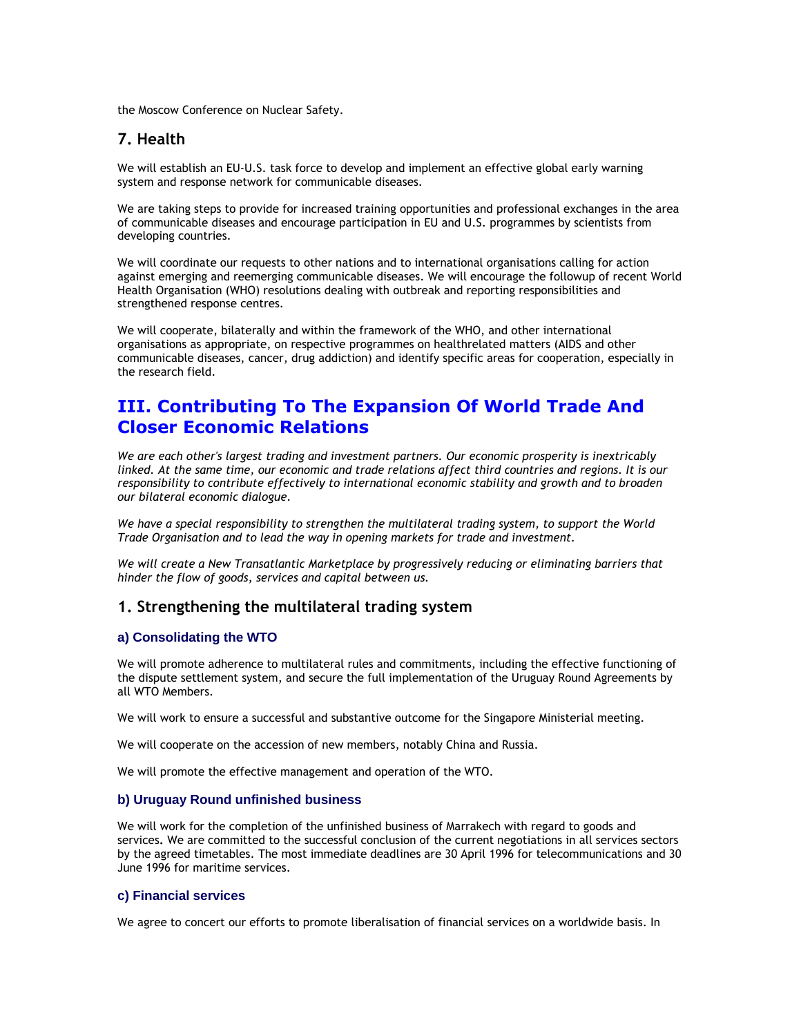the Moscow Conference on Nuclear Safety.

## **7. Health**

We will establish an EU-U.S. task force to develop and implement an effective global early warning system and response network for communicable diseases.

We are taking steps to provide for increased training opportunities and professional exchanges in the area of communicable diseases and encourage participation in EU and U.S. programmes by scientists from developing countries.

We will coordinate our requests to other nations and to international organisations calling for action against emerging and reemerging communicable diseases. We will encourage the followup of recent World Health Organisation (WHO) resolutions dealing with outbreak and reporting responsibilities and strengthened response centres.

We will cooperate, bilaterally and within the framework of the WHO, and other international organisations as appropriate, on respective programmes on healthrelated matters (AIDS and other communicable diseases, cancer, drug addiction) and identify specific areas for cooperation, especially in the research field.

# **III. Contributing To The Expansion Of World Trade And Closer Economic Relations**

*We are each other's largest trading and investment partners. Our economic prosperity is inextricably linked. At the same time, our economic and trade relations affect third countries and regions. It is our responsibility to contribute effectively to international economic stability and growth and to broaden our bilateral economic dialogue.*

*We have a special responsibility to strengthen the multilateral trading system, to support the World Trade Organisation and to lead the way in opening markets for trade and investment.*

*We will create a New Transatlantic Marketplace by progressively reducing or eliminating barriers that hinder the flow of goods, services and capital between us.*

### **1. Strengthening the multilateral trading system**

### **a) Consolidating the WTO**

We will promote adherence to multilateral rules and commitments, including the effective functioning of the dispute settlement system, and secure the full implementation of the Uruguay Round Agreements by all WTO Members.

We will work to ensure a successful and substantive outcome for the Singapore Ministerial meeting.

We will cooperate on the accession of new members, notably China and Russia.

We will promote the effective management and operation of the WTO.

#### **b) Uruguay Round unfinished business**

We will work for the completion of the unfinished business of Marrakech with regard to goods and services**.** We are committed to the successful conclusion of the current negotiations in all services sectors by the agreed timetables. The most immediate deadlines are 30 April 1996 for telecommunications and 30 June 1996 for maritime services.

### **c) Financial services**

We agree to concert our efforts to promote liberalisation of financial services on a worldwide basis. In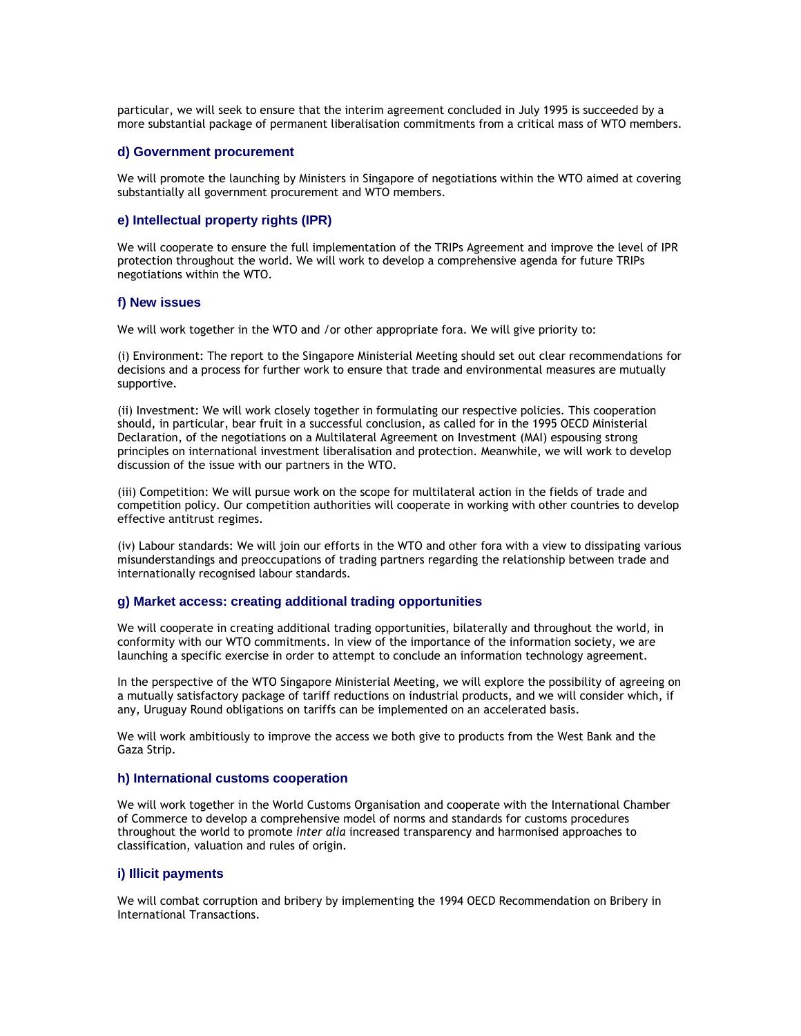particular, we will seek to ensure that the interim agreement concluded in July 1995 is succeeded by a more substantial package of permanent liberalisation commitments from a critical mass of WTO members.

#### **d) Government procurement**

We will promote the launching by Ministers in Singapore of negotiations within the WTO aimed at covering substantially all government procurement and WTO members.

#### **e) Intellectual property rights (IPR)**

We will cooperate to ensure the full implementation of the TRIPs Agreement and improve the level of IPR protection throughout the world. We will work to develop a comprehensive agenda for future TRIPs negotiations within the WTO.

#### **f) New issues**

We will work together in the WTO and /or other appropriate fora. We will give priority to:

(i) Environment: The report to the Singapore Ministerial Meeting should set out clear recommendations for decisions and a process for further work to ensure that trade and environmental measures are mutually supportive.

(ii) Investment: We will work closely together in formulating our respective policies. This cooperation should, in particular, bear fruit in a successful conclusion, as called for in the 1995 OECD Ministerial Declaration, of the negotiations on a Multilateral Agreement on Investment (MAI) espousing strong principles on international investment liberalisation and protection. Meanwhile, we will work to develop discussion of the issue with our partners in the WTO.

(iii) Competition: We will pursue work on the scope for multilateral action in the fields of trade and competition policy. Our competition authorities will cooperate in working with other countries to develop effective antitrust regimes.

(iv) Labour standards: We will join our efforts in the WTO and other fora with a view to dissipating various misunderstandings and preoccupations of trading partners regarding the relationship between trade and internationally recognised labour standards.

#### **g) Market access: creating additional trading opportunities**

We will cooperate in creating additional trading opportunities, bilaterally and throughout the world, in conformity with our WTO commitments. In view of the importance of the information society, we are launching a specific exercise in order to attempt to conclude an information technology agreement.

In the perspective of the WTO Singapore Ministerial Meeting, we will explore the possibility of agreeing on a mutually satisfactory package of tariff reductions on industrial products, and we will consider which, if any, Uruguay Round obligations on tariffs can be implemented on an accelerated basis.

We will work ambitiously to improve the access we both give to products from the West Bank and the Gaza Strip.

### **h) International customs cooperation**

We will work together in the World Customs Organisation and cooperate with the International Chamber of Commerce to develop a comprehensive model of norms and standards for customs procedures throughout the world to promote *inter alia* increased transparency and harmonised approaches to classification, valuation and rules of origin.

#### **i) Illicit payments**

We will combat corruption and bribery by implementing the 1994 OECD Recommendation on Bribery in International Transactions.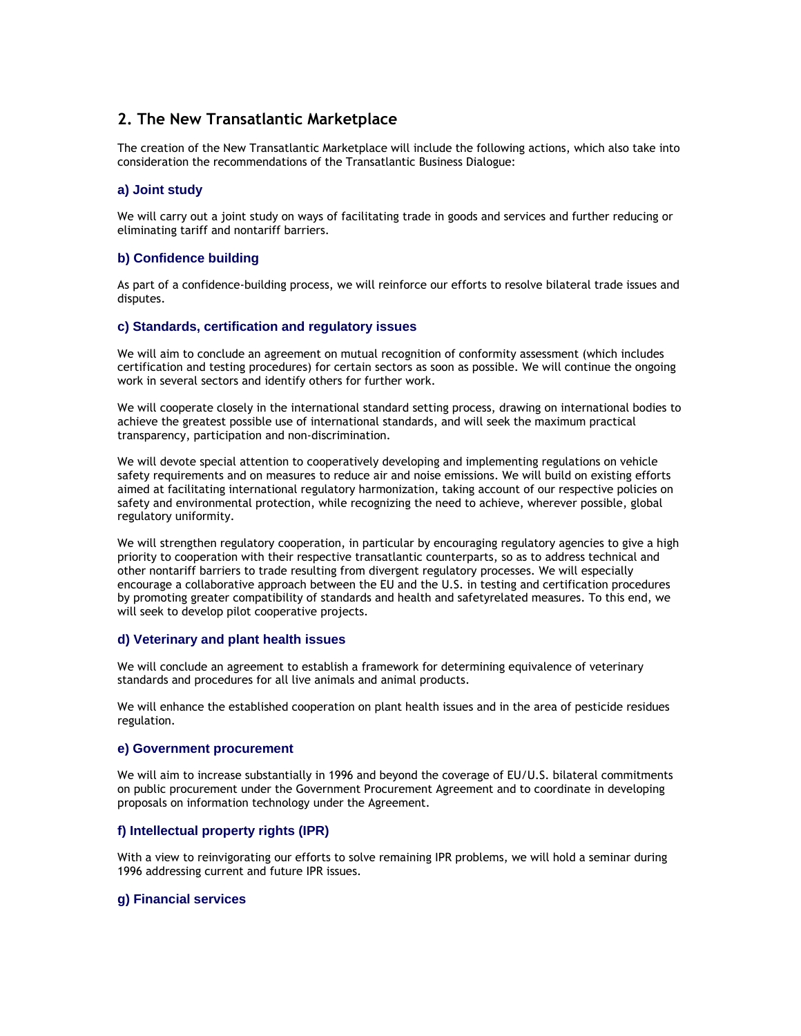## **2. The New Transatlantic Marketplace**

The creation of the New Transatlantic Marketplace will include the following actions, which also take into consideration the recommendations of the Transatlantic Business Dialogue:

### **a) Joint study**

We will carry out a joint study on ways of facilitating trade in goods and services and further reducing or eliminating tariff and nontariff barriers.

### **b) Confidence building**

As part of a confidence-building process, we will reinforce our efforts to resolve bilateral trade issues and disputes.

### **c) Standards, certification and regulatory issues**

We will aim to conclude an agreement on mutual recognition of conformity assessment (which includes certification and testing procedures) for certain sectors as soon as possible. We will continue the ongoing work in several sectors and identify others for further work.

We will cooperate closely in the international standard setting process, drawing on international bodies to achieve the greatest possible use of international standards, and will seek the maximum practical transparency, participation and non-discrimination.

We will devote special attention to cooperatively developing and implementing regulations on vehicle safety requirements and on measures to reduce air and noise emissions. We will build on existing efforts aimed at facilitating international regulatory harmonization, taking account of our respective policies on safety and environmental protection, while recognizing the need to achieve, wherever possible, global regulatory uniformity.

We will strengthen regulatory cooperation, in particular by encouraging regulatory agencies to give a high priority to cooperation with their respective transatlantic counterparts, so as to address technical and other nontariff barriers to trade resulting from divergent regulatory processes. We will especially encourage a collaborative approach between the EU and the U.S. in testing and certification procedures by promoting greater compatibility of standards and health and safetyrelated measures. To this end, we will seek to develop pilot cooperative projects.

#### **d) Veterinary and plant health issues**

We will conclude an agreement to establish a framework for determining equivalence of veterinary standards and procedures for all live animals and animal products.

We will enhance the established cooperation on plant health issues and in the area of pesticide residues regulation.

#### **e) Government procurement**

We will aim to increase substantially in 1996 and beyond the coverage of EU/U.S. bilateral commitments on public procurement under the Government Procurement Agreement and to coordinate in developing proposals on information technology under the Agreement.

### **f) Intellectual property rights (IPR)**

With a view to reinvigorating our efforts to solve remaining IPR problems, we will hold a seminar during 1996 addressing current and future IPR issues.

### **g) Financial services**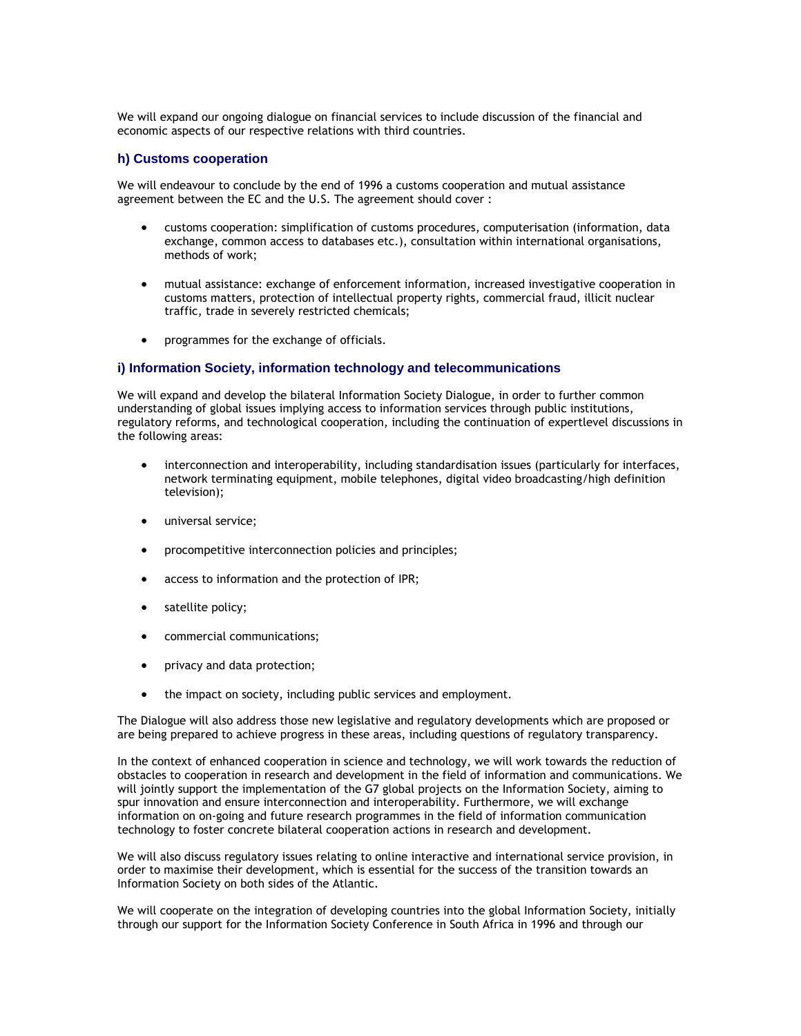We will expand our ongoing dialogue on financial services to include discussion of the financial and economic aspects of our respective relations with third countries.

#### **h) Customs cooperation**

We will endeavour to conclude by the end of 1996 a customs cooperation and mutual assistance agreement between the EC and the U.S. The agreement should cover :

- customs cooperation: simplification of customs procedures, computerisation (information, data exchange, common access to databases etc.), consultation within international organisations, methods of work;
- mutual assistance: exchange of enforcement information, increased investigative cooperation in customs matters, protection of intellectual property rights, commercial fraud, illicit nuclear traffic, trade in severely restricted chemicals;
- programmes for the exchange of officials.

#### **i) Information Society, information technology and telecommunications**

We will expand and develop the bilateral Information Society Dialogue, in order to further common understanding of global issues implying access to information services through public institutions, regulatory reforms, and technological cooperation, including the continuation of expertlevel discussions in the following areas:

- interconnection and interoperability, including standardisation issues (particularly for interfaces, network terminating equipment, mobile telephones, digital video broadcasting/high definition television);
- universal service;
- procompetitive interconnection policies and principles;
- access to information and the protection of IPR;
- satellite policy;
- commercial communications;
- privacy and data protection;
- the impact on society, including public services and employment.

The Dialogue will also address those new legislative and regulatory developments which are proposed or are being prepared to achieve progress in these areas, including questions of regulatory transparency.

In the context of enhanced cooperation in science and technology, we will work towards the reduction of obstacles to cooperation in research and development in the field of information and communications. We will jointly support the implementation of the G7 global projects on the Information Society, aiming to spur innovation and ensure interconnection and interoperability. Furthermore, we will exchange information on on-going and future research programmes in the field of information communication technology to foster concrete bilateral cooperation actions in research and development.

We will also discuss regulatory issues relating to online interactive and international service provision, in order to maximise their development, which is essential for the success of the transition towards an Information Society on both sides of the Atlantic.

We will cooperate on the integration of developing countries into the global Information Society, initially through our support for the Information Society Conference in South Africa in 1996 and through our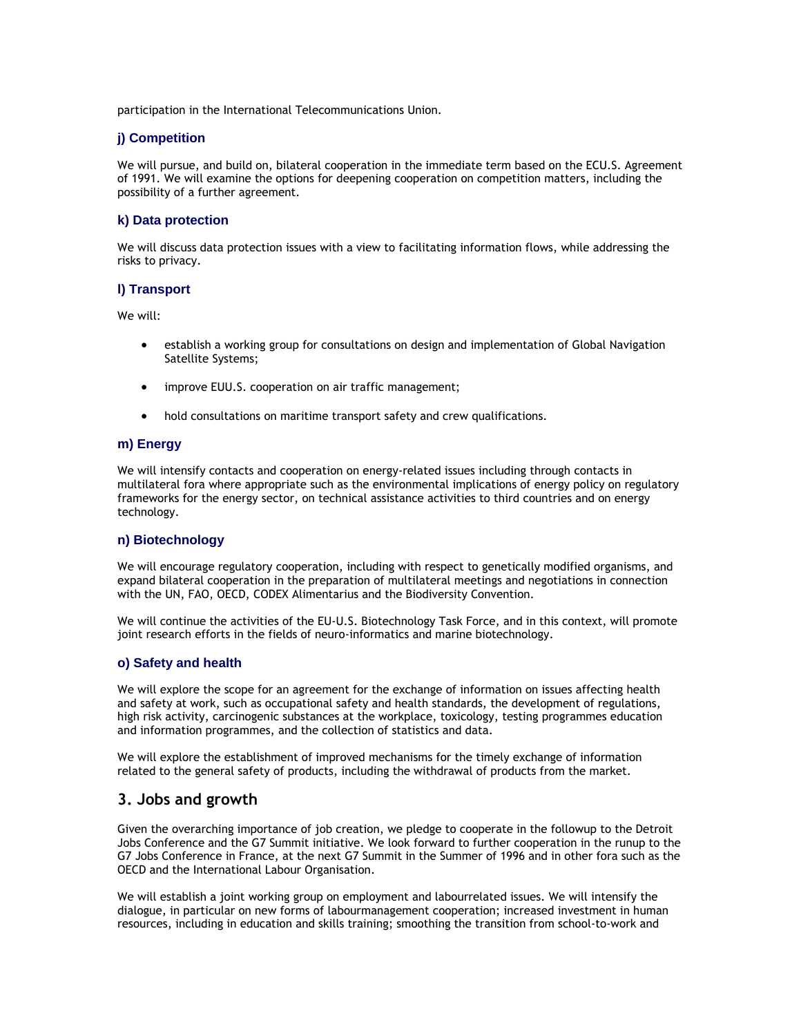participation in the International Telecommunications Union.

### **j) Competition**

We will pursue, and build on, bilateral cooperation in the immediate term based on the ECU.S. Agreement of 1991. We will examine the options for deepening cooperation on competition matters, including the possibility of a further agreement.

### **k) Data protection**

We will discuss data protection issues with a view to facilitating information flows, while addressing the risks to privacy.

### **l) Transport**

We will:

- establish a working group for consultations on design and implementation of Global Navigation Satellite Systems;
- improve EUU.S. cooperation on air traffic management;
- hold consultations on maritime transport safety and crew qualifications.

### **m) Energy**

We will intensify contacts and cooperation on energy-related issues including through contacts in multilateral fora where appropriate such as the environmental implications of energy policy on regulatory frameworks for the energy sector, on technical assistance activities to third countries and on energy technology.

#### **n) Biotechnology**

We will encourage regulatory cooperation, including with respect to genetically modified organisms, and expand bilateral cooperation in the preparation of multilateral meetings and negotiations in connection with the UN, FAO, OECD, CODEX Alimentarius and the Biodiversity Convention.

We will continue the activities of the EU-U.S. Biotechnology Task Force, and in this context, will promote joint research efforts in the fields of neuro-informatics and marine biotechnology.

#### **o) Safety and health**

We will explore the scope for an agreement for the exchange of information on issues affecting health and safety at work, such as occupational safety and health standards, the development of regulations, high risk activity, carcinogenic substances at the workplace, toxicology, testing programmes education and information programmes, and the collection of statistics and data.

We will explore the establishment of improved mechanisms for the timely exchange of information related to the general safety of products, including the withdrawal of products from the market.

### **3. Jobs and growth**

Given the overarching importance of job creation, we pledge to cooperate in the followup to the Detroit Jobs Conference and the G7 Summit initiative. We look forward to further cooperation in the runup to the G7 Jobs Conference in France, at the next G7 Summit in the Summer of 1996 and in other fora such as the OECD and the International Labour Organisation.

We will establish a joint working group on employment and labourrelated issues. We will intensify the dialogue, in particular on new forms of labourmanagement cooperation; increased investment in human resources, including in education and skills training; smoothing the transition from school-to-work and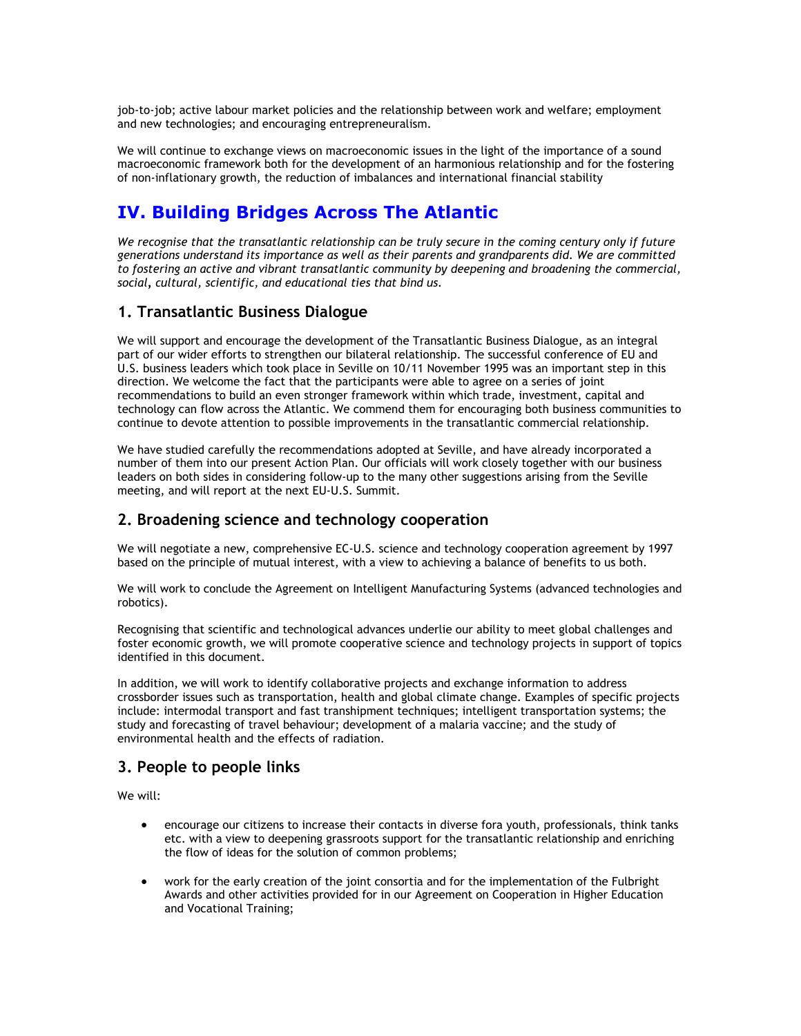job-to-job; active labour market policies and the relationship between work and welfare; employment and new technologies; and encouraging entrepreneuralism.

We will continue to exchange views on macroeconomic issues in the light of the importance of a sound macroeconomic framework both for the development of an harmonious relationship and for the fostering of non-inflationary growth, the reduction of imbalances and international financial stability

# **IV. Building Bridges Across The Atlantic**

*We recognise that the transatlantic relationship can be truly secure in the coming century only if future generations understand its importance as well as their parents and grandparents did. We are committed to fostering an active and vibrant transatlantic community by deepening and broadening the commercial, social, cultural, scientific, and educational ties that bind us.*

## **1. Transatlantic Business Dialogue**

We will support and encourage the development of the Transatlantic Business Dialogue, as an integral part of our wider efforts to strengthen our bilateral relationship. The successful conference of EU and U.S. business leaders which took place in Seville on 10/11 November 1995 was an important step in this direction. We welcome the fact that the participants were able to agree on a series of joint recommendations to build an even stronger framework within which trade, investment, capital and technology can flow across the Atlantic. We commend them for encouraging both business communities to continue to devote attention to possible improvements in the transatlantic commercial relationship.

We have studied carefully the recommendations adopted at Seville, and have already incorporated a number of them into our present Action Plan. Our officials will work closely together with our business leaders on both sides in considering follow-up to the many other suggestions arising from the Seville meeting, and will report at the next EU-U.S. Summit.

### **2. Broadening science and technology cooperation**

We will negotiate a new, comprehensive EC-U.S. science and technology cooperation agreement by 1997 based on the principle of mutual interest, with a view to achieving a balance of benefits to us both.

We will work to conclude the Agreement on Intelligent Manufacturing Systems (advanced technologies and robotics).

Recognising that scientific and technological advances underlie our ability to meet global challenges and foster economic growth, we will promote cooperative science and technology projects in support of topics identified in this document.

In addition, we will work to identify collaborative projects and exchange information to address crossborder issues such as transportation, health and global climate change. Examples of specific projects include: intermodal transport and fast transhipment techniques; intelligent transportation systems; the study and forecasting of travel behaviour; development of a malaria vaccine; and the study of environmental health and the effects of radiation.

## **3. People to people links**

- encourage our citizens to increase their contacts in diverse fora youth, professionals, think tanks etc. with a view to deepening grassroots support for the transatlantic relationship and enriching the flow of ideas for the solution of common problems;
- work for the early creation of the joint consortia and for the implementation of the Fulbright Awards and other activities provided for in our Agreement on Cooperation in Higher Education and Vocational Training;